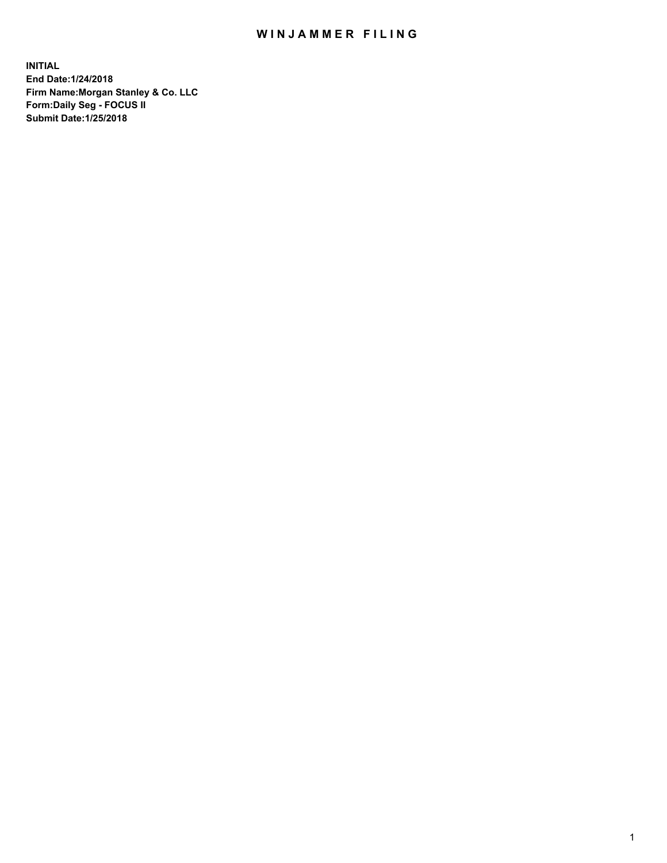## WIN JAMMER FILING

**INITIAL End Date:1/24/2018 Firm Name:Morgan Stanley & Co. LLC Form:Daily Seg - FOCUS II Submit Date:1/25/2018**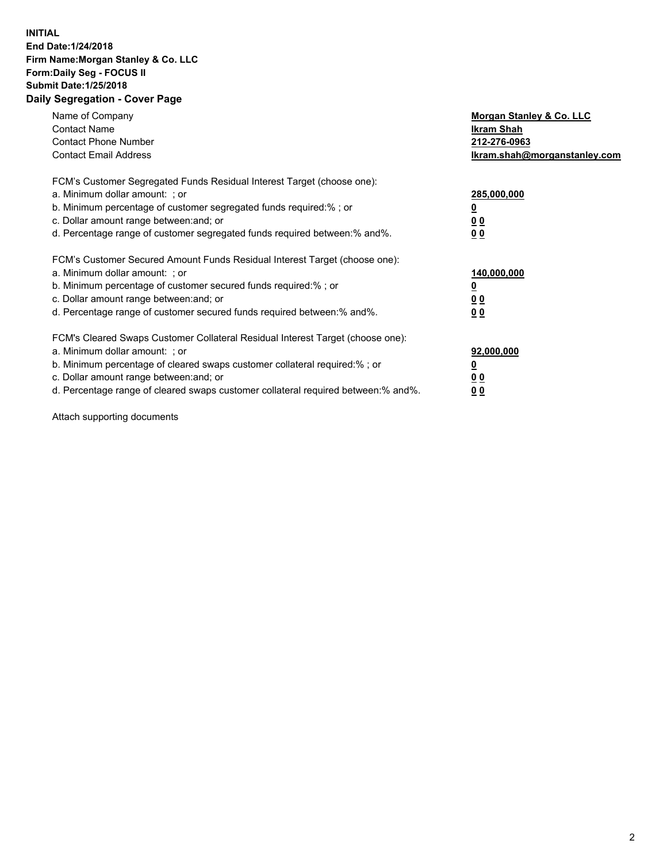## **INITIAL End Date:1/24/2018 Firm Name:Morgan Stanley & Co. LLC Form:Daily Seg - FOCUS II Submit Date:1/25/2018 Daily Segregation - Cover Page**

| Name of Company<br><b>Contact Name</b><br><b>Contact Phone Number</b><br><b>Contact Email Address</b>                                                                                                                                                                                                                         | Morgan Stanley & Co. LLC<br>Ikram Shah<br>212-276-0963<br>lkram.shah@morganstanley.com |
|-------------------------------------------------------------------------------------------------------------------------------------------------------------------------------------------------------------------------------------------------------------------------------------------------------------------------------|----------------------------------------------------------------------------------------|
| FCM's Customer Segregated Funds Residual Interest Target (choose one):<br>a. Minimum dollar amount: ; or<br>b. Minimum percentage of customer segregated funds required:%; or<br>c. Dollar amount range between: and; or<br>d. Percentage range of customer segregated funds required between:% and%.                         | 285,000,000<br>0 <sub>0</sub><br>00                                                    |
| FCM's Customer Secured Amount Funds Residual Interest Target (choose one):<br>a. Minimum dollar amount: ; or<br>b. Minimum percentage of customer secured funds required:%; or<br>c. Dollar amount range between: and; or<br>d. Percentage range of customer secured funds required between:% and%.                           | 140,000,000<br>0 <sub>0</sub><br>0 <sub>0</sub>                                        |
| FCM's Cleared Swaps Customer Collateral Residual Interest Target (choose one):<br>a. Minimum dollar amount: ; or<br>b. Minimum percentage of cleared swaps customer collateral required:%; or<br>c. Dollar amount range between: and; or<br>d. Percentage range of cleared swaps customer collateral required between:% and%. | 92,000,000<br>0 <sub>0</sub><br><u>00</u>                                              |

Attach supporting documents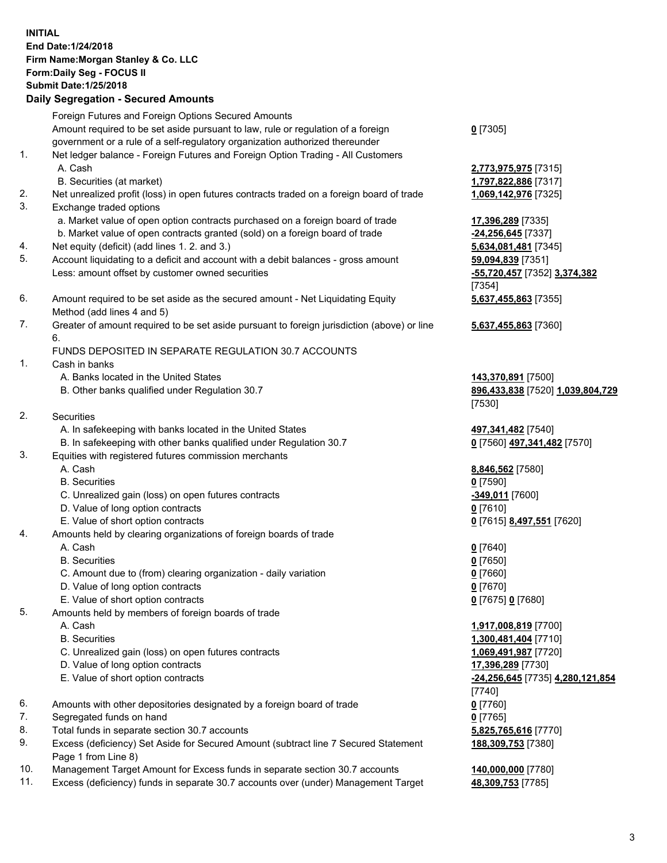## **INITIAL End Date:1/24/2018 Firm Name:Morgan Stanley & Co. LLC Form:Daily Seg - FOCUS II Submit Date:1/25/2018 Daily Segregation - Secured Amounts**

Foreign Futures and Foreign Options Secured Amounts Amount required to be set aside pursuant to law, rule or regulation of a foreign government or a rule of a self-regulatory organization authorized thereunder 1. Net ledger balance - Foreign Futures and Foreign Option Trading - All Customers A. Cash **2,773,975,975** [7315]

- B. Securities (at market) **1,797,822,886** [7317]
- 2. Net unrealized profit (loss) in open futures contracts traded on a foreign board of trade **1,069,142,976** [7325]
- 3. Exchange traded options
	- a. Market value of open option contracts purchased on a foreign board of trade **17,396,289** [7335]
	- b. Market value of open contracts granted (sold) on a foreign board of trade **-24,256,645** [7337]
- 4. Net equity (deficit) (add lines 1. 2. and 3.) **5,634,081,481** [7345]
- 5. Account liquidating to a deficit and account with a debit balances gross amount **59,094,839** [7351] Less: amount offset by customer owned securities **-55,720,457** [7352] **3,374,382**
- 6. Amount required to be set aside as the secured amount Net Liquidating Equity Method (add lines 4 and 5)
- 7. Greater of amount required to be set aside pursuant to foreign jurisdiction (above) or line 6.

## FUNDS DEPOSITED IN SEPARATE REGULATION 30.7 ACCOUNTS

- 1. Cash in banks
	- A. Banks located in the United States **143,370,891** [7500]
	- B. Other banks qualified under Regulation 30.7 **896,433,838** [7520] **1,039,804,729**
- 2. Securities
	- A. In safekeeping with banks located in the United States **497,341,482** [7540]
	- B. In safekeeping with other banks qualified under Regulation 30.7 **0** [7560] **497,341,482** [7570]
- 3. Equities with registered futures commission merchants
	-
	-
	- C. Unrealized gain (loss) on open futures contracts **-349,011** [7600]
	- D. Value of long option contracts **0** [7610]
- E. Value of short option contracts **0** [7615] **8,497,551** [7620]
- 4. Amounts held by clearing organizations of foreign boards of trade
	-
	-
	- C. Amount due to (from) clearing organization daily variation **0** [7660]
	- D. Value of long option contracts **0** [7670]
	- E. Value of short option contracts **0** [7675] **0** [7680]
- 5. Amounts held by members of foreign boards of trade
	-
	-
	- C. Unrealized gain (loss) on open futures contracts **1,069,491,987** [7720]
	- D. Value of long option contracts **17,396,289** [7730]
	- E. Value of short option contracts **-24,256,645** [7735] **4,280,121,854**
- 6. Amounts with other depositories designated by a foreign board of trade **0** [7760]
- 7. Segregated funds on hand **0** [7765]
- 8. Total funds in separate section 30.7 accounts **5,825,765,616** [7770]
- 9. Excess (deficiency) Set Aside for Secured Amount (subtract line 7 Secured Statement Page 1 from Line 8)
- 10. Management Target Amount for Excess funds in separate section 30.7 accounts **140,000,000** [7780]
- 11. Excess (deficiency) funds in separate 30.7 accounts over (under) Management Target **48,309,753** [7785]

**0** [7305]

[7354] **5,637,455,863** [7355]

**5,637,455,863** [7360]

[7530]

 A. Cash **8,846,562** [7580] B. Securities **0** [7590]

 A. Cash **0** [7640] B. Securities **0** [7650]

 A. Cash **1,917,008,819** [7700] B. Securities **1,300,481,404** [7710] [7740] **188,309,753** [7380]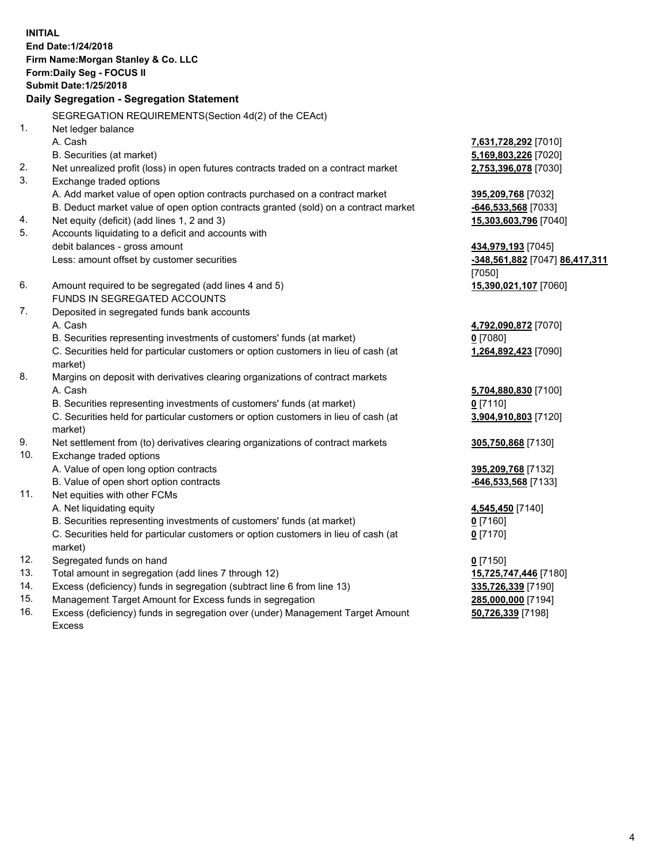**INITIAL End Date:1/24/2018 Firm Name:Morgan Stanley & Co. LLC Form:Daily Seg - FOCUS II Submit Date:1/25/2018 Daily Segregation - Segregation Statement** SEGREGATION REQUIREMENTS(Section 4d(2) of the CEAct) 1. Net ledger balance A. Cash **7,631,728,292** [7010] B. Securities (at market) **5,169,803,226** [7020] 2. Net unrealized profit (loss) in open futures contracts traded on a contract market **2,753,396,078** [7030] 3. Exchange traded options A. Add market value of open option contracts purchased on a contract market **395,209,768** [7032] B. Deduct market value of open option contracts granted (sold) on a contract market **-646,533,568** [7033] 4. Net equity (deficit) (add lines 1, 2 and 3) **15,303,603,796** [7040] 5. Accounts liquidating to a deficit and accounts with debit balances - gross amount **434,979,193** [7045] Less: amount offset by customer securities **-348,561,882** [7047] **86,417,311** [7050] 6. Amount required to be segregated (add lines 4 and 5) **15,390,021,107** [7060] FUNDS IN SEGREGATED ACCOUNTS 7. Deposited in segregated funds bank accounts A. Cash **4,792,090,872** [7070] B. Securities representing investments of customers' funds (at market) **0** [7080] C. Securities held for particular customers or option customers in lieu of cash (at market) **1,264,892,423** [7090] 8. Margins on deposit with derivatives clearing organizations of contract markets A. Cash **5,704,880,830** [7100] B. Securities representing investments of customers' funds (at market) **0** [7110] C. Securities held for particular customers or option customers in lieu of cash (at market) **3,904,910,803** [7120] 9. Net settlement from (to) derivatives clearing organizations of contract markets **305,750,868** [7130] 10. Exchange traded options A. Value of open long option contracts **395,209,768** [7132] B. Value of open short option contracts **-646,533,568** [7133] 11. Net equities with other FCMs A. Net liquidating equity **4,545,450** [7140] B. Securities representing investments of customers' funds (at market) **0** [7160] C. Securities held for particular customers or option customers in lieu of cash (at market) **0** [7170] 12. Segregated funds on hand **0** [7150] 13. Total amount in segregation (add lines 7 through 12) **15,725,747,446** [7180] 14. Excess (deficiency) funds in segregation (subtract line 6 from line 13) **335,726,339** [7190]

- 15. Management Target Amount for Excess funds in segregation **285,000,000** [7194]
- 16. Excess (deficiency) funds in segregation over (under) Management Target Amount Excess

**50,726,339** [7198]